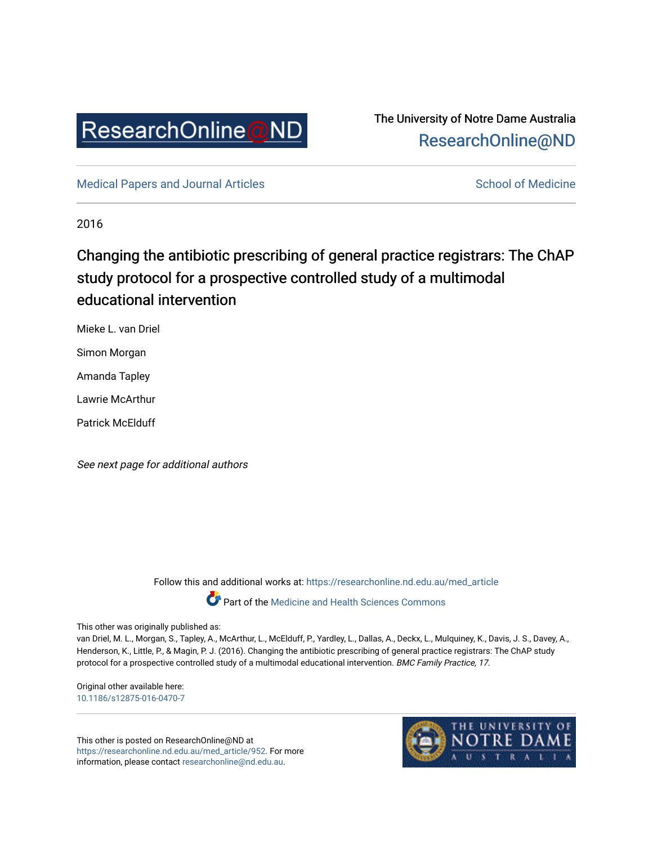

The University of Notre Dame Australia [ResearchOnline@ND](https://researchonline.nd.edu.au/) 

[Medical Papers and Journal Articles](https://researchonline.nd.edu.au/med_article) [School of Medicine](https://researchonline.nd.edu.au/med) School of Medicine

2016

# Changing the antibiotic prescribing of general practice registrars: The ChAP study protocol for a prospective controlled study of a multimodal educational intervention

Mieke L. van Driel

Simon Morgan

Amanda Tapley

Lawrie McArthur

Patrick McElduff

See next page for additional authors

Follow this and additional works at: [https://researchonline.nd.edu.au/med\\_article](https://researchonline.nd.edu.au/med_article?utm_source=researchonline.nd.edu.au%2Fmed_article%2F952&utm_medium=PDF&utm_campaign=PDFCoverPages) 

Part of the [Medicine and Health Sciences Commons](http://network.bepress.com/hgg/discipline/648?utm_source=researchonline.nd.edu.au%2Fmed_article%2F952&utm_medium=PDF&utm_campaign=PDFCoverPages)

This other was originally published as:

van Driel, M. L., Morgan, S., Tapley, A., McArthur, L., McElduff, P., Yardley, L., Dallas, A., Deckx, L., Mulquiney, K., Davis, J. S., Davey, A., Henderson, K., Little, P., & Magin, P. J. (2016). Changing the antibiotic prescribing of general practice registrars: The ChAP study protocol for a prospective controlled study of a multimodal educational intervention. BMC Family Practice, 17.

Original other available here: [10.1186/s12875-016-0470-7](https://doi.org/10.1186/s12875-016-0470-7) 

This other is posted on ResearchOnline@ND at [https://researchonline.nd.edu.au/med\\_article/952](https://researchonline.nd.edu.au/med_article/952). For more information, please contact [researchonline@nd.edu.au.](mailto:researchonline@nd.edu.au)

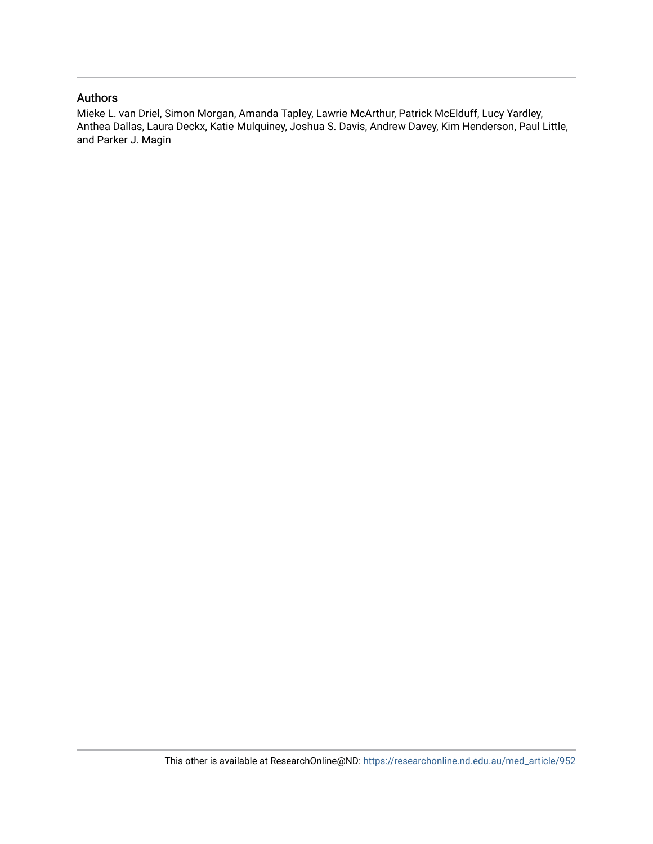# Authors

Mieke L. van Driel, Simon Morgan, Amanda Tapley, Lawrie McArthur, Patrick McElduff, Lucy Yardley, Anthea Dallas, Laura Deckx, Katie Mulquiney, Joshua S. Davis, Andrew Davey, Kim Henderson, Paul Little, and Parker J. Magin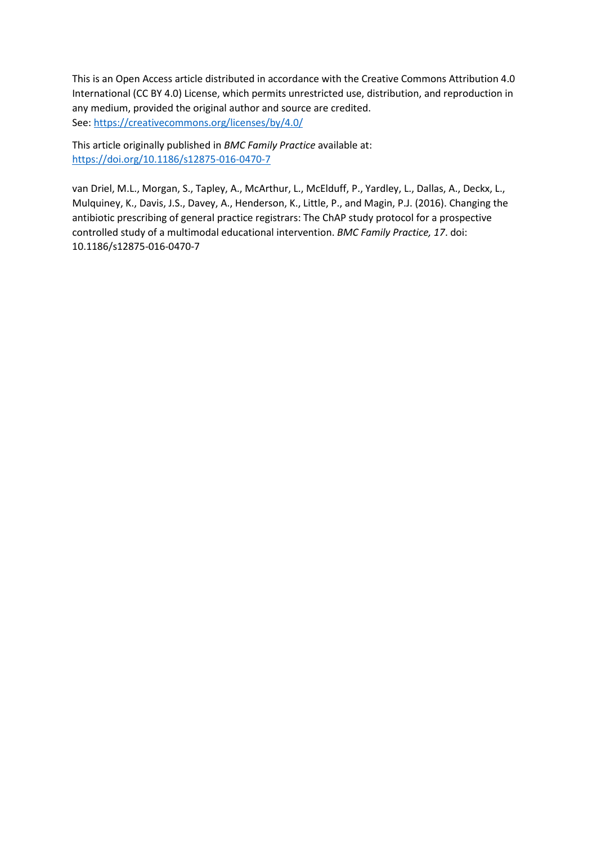This is an Open Access article distributed in accordance with the Creative Commons Attribution 4.0 International (CC BY 4.0) License, which permits unrestricted use, distribution, and reproduction in any medium, provided the original author and source are credited. See[: https://creativecommons.org/licenses/by/4.0/](https://creativecommons.org/licenses/by/4.0/)

This article originally published in *BMC Family Practice* available at: <https://doi.org/10.1186/s12875-016-0470-7>

van Driel, M.L., Morgan, S., Tapley, A., McArthur, L., McElduff, P., Yardley, L., Dallas, A., Deckx, L., Mulquiney, K., Davis, J.S., Davey, A., Henderson, K., Little, P., and Magin, P.J. (2016). Changing the antibiotic prescribing of general practice registrars: The ChAP study protocol for a prospective controlled study of a multimodal educational intervention. *BMC Family Practice, 17*. doi: 10.1186/s12875-016-0470-7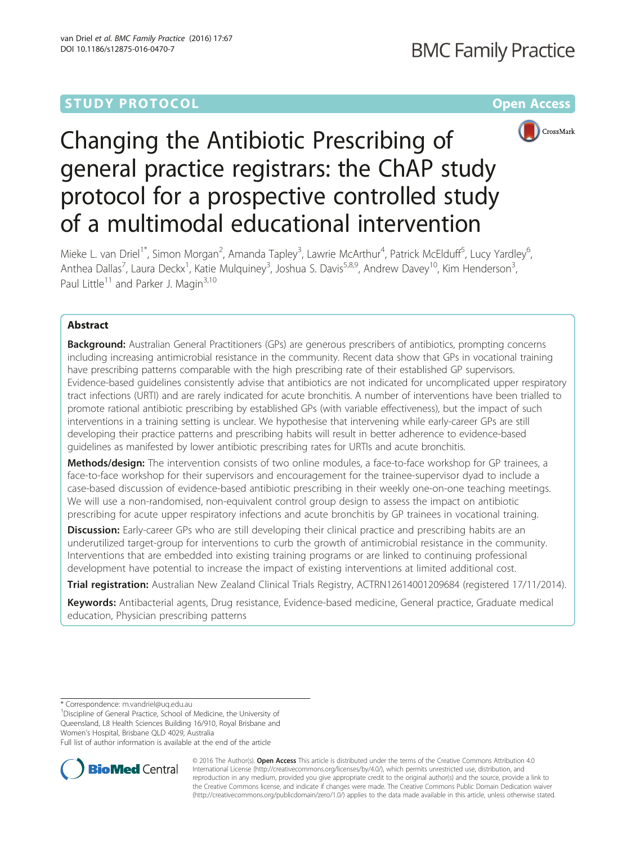# **STUDY PROTOCOL CONSUMING THE RESERVE ACCESS**



# Changing the Antibiotic Prescribing of general practice registrars: the ChAP study protocol for a prospective controlled study of a multimodal educational intervention

Mieke L. van Driel<sup>1\*</sup>, Simon Morgan<sup>2</sup>, Amanda Tapley<sup>3</sup>, Lawrie McArthur<sup>4</sup>, Patrick McElduff<sup>5</sup>, Lucy Yardley<sup>6</sup> , Anthea Dallas<sup>7</sup>, Laura Deckx<sup>1</sup>, Katie Mulquiney<sup>3</sup>, Joshua S. Davis<sup>5,8,9</sup>, Andrew Davey<sup>10</sup>, Kim Henderson<sup>3</sup> , Paul Little<sup>11</sup> and Parker J. Magin<sup>3,10</sup>

# Abstract

**Background:** Australian General Practitioners (GPs) are generous prescribers of antibiotics, prompting concerns including increasing antimicrobial resistance in the community. Recent data show that GPs in vocational training have prescribing patterns comparable with the high prescribing rate of their established GP supervisors. Evidence-based guidelines consistently advise that antibiotics are not indicated for uncomplicated upper respiratory tract infections (URTI) and are rarely indicated for acute bronchitis. A number of interventions have been trialled to promote rational antibiotic prescribing by established GPs (with variable effectiveness), but the impact of such interventions in a training setting is unclear. We hypothesise that intervening while early-career GPs are still developing their practice patterns and prescribing habits will result in better adherence to evidence-based guidelines as manifested by lower antibiotic prescribing rates for URTIs and acute bronchitis.

Methods/design: The intervention consists of two online modules, a face-to-face workshop for GP trainees, a face-to-face workshop for their supervisors and encouragement for the trainee-supervisor dyad to include a case-based discussion of evidence-based antibiotic prescribing in their weekly one-on-one teaching meetings. We will use a non-randomised, non-equivalent control group design to assess the impact on antibiotic prescribing for acute upper respiratory infections and acute bronchitis by GP trainees in vocational training.

**Discussion:** Early-career GPs who are still developing their clinical practice and prescribing habits are an underutilized target-group for interventions to curb the growth of antimicrobial resistance in the community. Interventions that are embedded into existing training programs or are linked to continuing professional development have potential to increase the impact of existing interventions at limited additional cost.

Trial registration: Australian New Zealand Clinical Trials Registry, [ACTRN12614001209684](https://www.anzctr.org.au/Trial/Registration/TrialReview.aspx?id=366836) (registered 17/11/2014).

Keywords: Antibacterial agents, Drug resistance, Evidence-based medicine, General practice, Graduate medical education, Physician prescribing patterns

\* Correspondence: [m.vandriel@uq.edu.au](mailto:m.vandriel@uq.edu.au) <sup>1</sup>

<sup>1</sup> Discipline of General Practice, School of Medicine, the University of Queensland, L8 Health Sciences Building 16/910, Royal Brisbane and Women's Hospital, Brisbane QLD 4029, Australia

Full list of author information is available at the end of the article



© 2016 The Author(s). Open Access This article is distributed under the terms of the Creative Commons Attribution 4.0 International License [\(http://creativecommons.org/licenses/by/4.0/](http://creativecommons.org/licenses/by/4.0/)), which permits unrestricted use, distribution, and reproduction in any medium, provided you give appropriate credit to the original author(s) and the source, provide a link to the Creative Commons license, and indicate if changes were made. The Creative Commons Public Domain Dedication waiver [\(http://creativecommons.org/publicdomain/zero/1.0/](http://creativecommons.org/publicdomain/zero/1.0/)) applies to the data made available in this article, unless otherwise stated.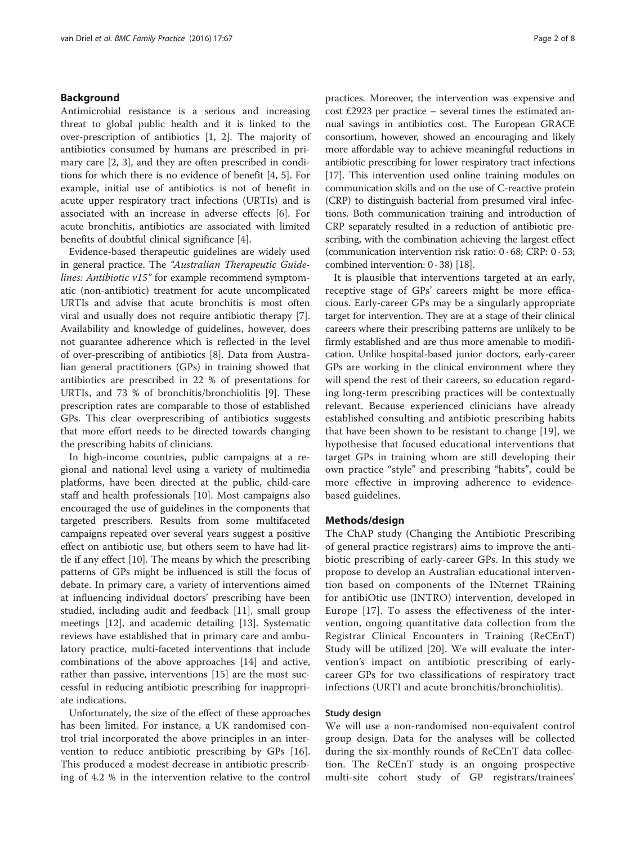# Background

Antimicrobial resistance is a serious and increasing threat to global public health and it is linked to the over-prescription of antibiotics [\[1](#page-9-0), [2](#page-9-0)]. The majority of antibiotics consumed by humans are prescribed in primary care [\[2, 3](#page-9-0)], and they are often prescribed in conditions for which there is no evidence of benefit [\[4](#page-9-0), [5](#page-9-0)]. For example, initial use of antibiotics is not of benefit in acute upper respiratory tract infections (URTIs) and is associated with an increase in adverse effects [\[6](#page-9-0)]. For acute bronchitis, antibiotics are associated with limited benefits of doubtful clinical significance [\[4](#page-9-0)].

Evidence-based therapeutic guidelines are widely used in general practice. The "Australian Therapeutic Guidelines: Antibiotic v15" for example recommend symptomatic (non-antibiotic) treatment for acute uncomplicated URTIs and advise that acute bronchitis is most often viral and usually does not require antibiotic therapy [\[7](#page-9-0)]. Availability and knowledge of guidelines, however, does not guarantee adherence which is reflected in the level of over-prescribing of antibiotics [\[8](#page-9-0)]. Data from Australian general practitioners (GPs) in training showed that antibiotics are prescribed in 22 % of presentations for URTIs, and 73 % of bronchitis/bronchiolitis [[9](#page-9-0)]. These prescription rates are comparable to those of established GPs. This clear overprescribing of antibiotics suggests that more effort needs to be directed towards changing the prescribing habits of clinicians.

In high-income countries, public campaigns at a regional and national level using a variety of multimedia platforms, have been directed at the public, child-care staff and health professionals [\[10](#page-9-0)]. Most campaigns also encouraged the use of guidelines in the components that targeted prescribers. Results from some multifaceted campaigns repeated over several years suggest a positive effect on antibiotic use, but others seem to have had little if any effect [\[10](#page-9-0)]. The means by which the prescribing patterns of GPs might be influenced is still the focus of debate. In primary care, a variety of interventions aimed at influencing individual doctors' prescribing have been studied, including audit and feedback [[11\]](#page-9-0), small group meetings [\[12](#page-9-0)], and academic detailing [\[13\]](#page-9-0). Systematic reviews have established that in primary care and ambulatory practice, multi-faceted interventions that include combinations of the above approaches [[14\]](#page-9-0) and active, rather than passive, interventions [\[15](#page-9-0)] are the most successful in reducing antibiotic prescribing for inappropriate indications.

Unfortunately, the size of the effect of these approaches has been limited. For instance, a UK randomised control trial incorporated the above principles in an intervention to reduce antibiotic prescribing by GPs [\[16](#page-9-0)]. This produced a modest decrease in antibiotic prescribing of 4.2 % in the intervention relative to the control practices. Moreover, the intervention was expensive and cost £2923 per practice – several times the estimated annual savings in antibiotics cost. The European GRACE consortium, however, showed an encouraging and likely more affordable way to achieve meaningful reductions in antibiotic prescribing for lower respiratory tract infections [[17](#page-9-0)]. This intervention used online training modules on communication skills and on the use of C-reactive protein (CRP) to distinguish bacterial from presumed viral infections. Both communication training and introduction of CRP separately resulted in a reduction of antibiotic prescribing, with the combination achieving the largest effect (communication intervention risk ratio:  $0.68$ ; CRP:  $0.53$ ; combined intervention:  $0.38$  [[18](#page-9-0)].

It is plausible that interventions targeted at an early, receptive stage of GPs' careers might be more efficacious. Early-career GPs may be a singularly appropriate target for intervention. They are at a stage of their clinical careers where their prescribing patterns are unlikely to be firmly established and are thus more amenable to modification. Unlike hospital-based junior doctors, early-career GPs are working in the clinical environment where they will spend the rest of their careers, so education regarding long-term prescribing practices will be contextually relevant. Because experienced clinicians have already established consulting and antibiotic prescribing habits that have been shown to be resistant to change [[19\]](#page-10-0), we hypothesise that focused educational interventions that target GPs in training whom are still developing their own practice "style" and prescribing "habits", could be more effective in improving adherence to evidencebased guidelines.

#### Methods/design

The ChAP study (Changing the Antibiotic Prescribing of general practice registrars) aims to improve the antibiotic prescribing of early-career GPs. In this study we propose to develop an Australian educational intervention based on components of the INternet TRaining for antibiOtic use (INTRO) intervention, developed in Europe [[17\]](#page-9-0). To assess the effectiveness of the intervention, ongoing quantitative data collection from the Registrar Clinical Encounters in Training (ReCEnT) Study will be utilized [\[20](#page-10-0)]. We will evaluate the intervention's impact on antibiotic prescribing of earlycareer GPs for two classifications of respiratory tract infections (URTI and acute bronchitis/bronchiolitis).

### Study design

We will use a non-randomised non-equivalent control group design. Data for the analyses will be collected during the six-monthly rounds of ReCEnT data collection. The ReCEnT study is an ongoing prospective multi-site cohort study of GP registrars/trainees'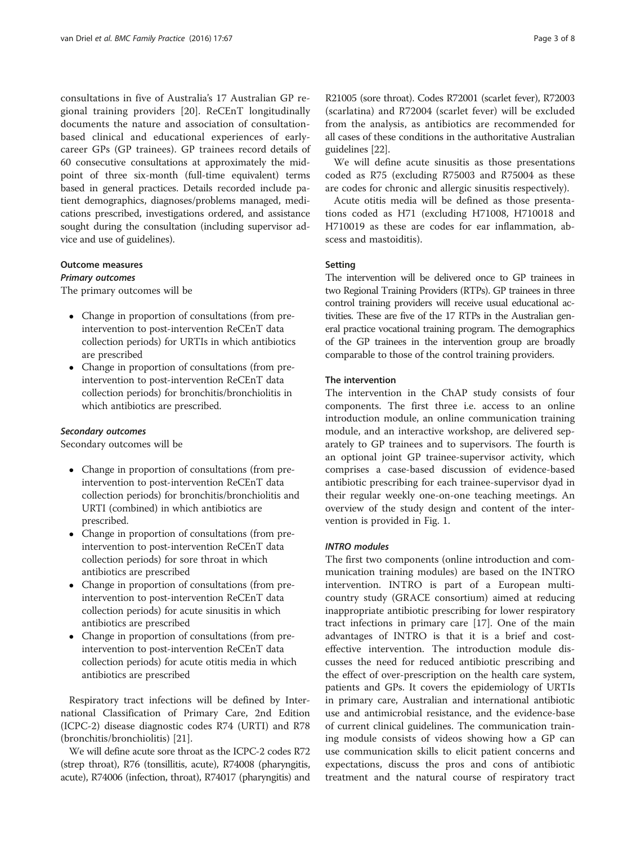consultations in five of Australia's 17 Australian GP regional training providers [\[20](#page-10-0)]. ReCEnT longitudinally documents the nature and association of consultationbased clinical and educational experiences of earlycareer GPs (GP trainees). GP trainees record details of 60 consecutive consultations at approximately the midpoint of three six-month (full-time equivalent) terms based in general practices. Details recorded include patient demographics, diagnoses/problems managed, medications prescribed, investigations ordered, and assistance sought during the consultation (including supervisor advice and use of guidelines).

# Outcome measures

Primary outcomes

The primary outcomes will be

- Change in proportion of consultations (from preintervention to post-intervention ReCEnT data collection periods) for URTIs in which antibiotics are prescribed
- Change in proportion of consultations (from preintervention to post-intervention ReCEnT data collection periods) for bronchitis/bronchiolitis in which antibiotics are prescribed.

## Secondary outcomes

Secondary outcomes will be

- Change in proportion of consultations (from preintervention to post-intervention ReCEnT data collection periods) for bronchitis/bronchiolitis and URTI (combined) in which antibiotics are prescribed.
- Change in proportion of consultations (from preintervention to post-intervention ReCEnT data collection periods) for sore throat in which antibiotics are prescribed
- Change in proportion of consultations (from preintervention to post-intervention ReCEnT data collection periods) for acute sinusitis in which antibiotics are prescribed
- Change in proportion of consultations (from preintervention to post-intervention ReCEnT data collection periods) for acute otitis media in which antibiotics are prescribed

Respiratory tract infections will be defined by International Classification of Primary Care, 2nd Edition (ICPC-2) disease diagnostic codes R74 (URTI) and R78 (bronchitis/bronchiolitis) [\[21](#page-10-0)].

We will define acute sore throat as the ICPC-2 codes R72 (strep throat), R76 (tonsillitis, acute), R74008 (pharyngitis, acute), R74006 (infection, throat), R74017 (pharyngitis) and

R21005 (sore throat). Codes R72001 (scarlet fever), R72003 (scarlatina) and R72004 (scarlet fever) will be excluded from the analysis, as antibiotics are recommended for all cases of these conditions in the authoritative Australian guidelines [\[22](#page-10-0)].

We will define acute sinusitis as those presentations coded as R75 (excluding R75003 and R75004 as these are codes for chronic and allergic sinusitis respectively).

Acute otitis media will be defined as those presentations coded as H71 (excluding H71008, H710018 and H710019 as these are codes for ear inflammation, abscess and mastoiditis).

#### Setting

The intervention will be delivered once to GP trainees in two Regional Training Providers (RTPs). GP trainees in three control training providers will receive usual educational activities. These are five of the 17 RTPs in the Australian general practice vocational training program. The demographics of the GP trainees in the intervention group are broadly comparable to those of the control training providers.

#### The intervention

The intervention in the ChAP study consists of four components. The first three i.e. access to an online introduction module, an online communication training module, and an interactive workshop, are delivered separately to GP trainees and to supervisors. The fourth is an optional joint GP trainee-supervisor activity, which comprises a case-based discussion of evidence-based antibiotic prescribing for each trainee-supervisor dyad in their regular weekly one-on-one teaching meetings. An overview of the study design and content of the intervention is provided in Fig. [1.](#page-6-0)

## INTRO modules

The first two components (online introduction and communication training modules) are based on the INTRO intervention. INTRO is part of a European multicountry study (GRACE consortium) aimed at reducing inappropriate antibiotic prescribing for lower respiratory tract infections in primary care [\[17](#page-9-0)]. One of the main advantages of INTRO is that it is a brief and costeffective intervention. The introduction module discusses the need for reduced antibiotic prescribing and the effect of over-prescription on the health care system, patients and GPs. It covers the epidemiology of URTIs in primary care, Australian and international antibiotic use and antimicrobial resistance, and the evidence-base of current clinical guidelines. The communication training module consists of videos showing how a GP can use communication skills to elicit patient concerns and expectations, discuss the pros and cons of antibiotic treatment and the natural course of respiratory tract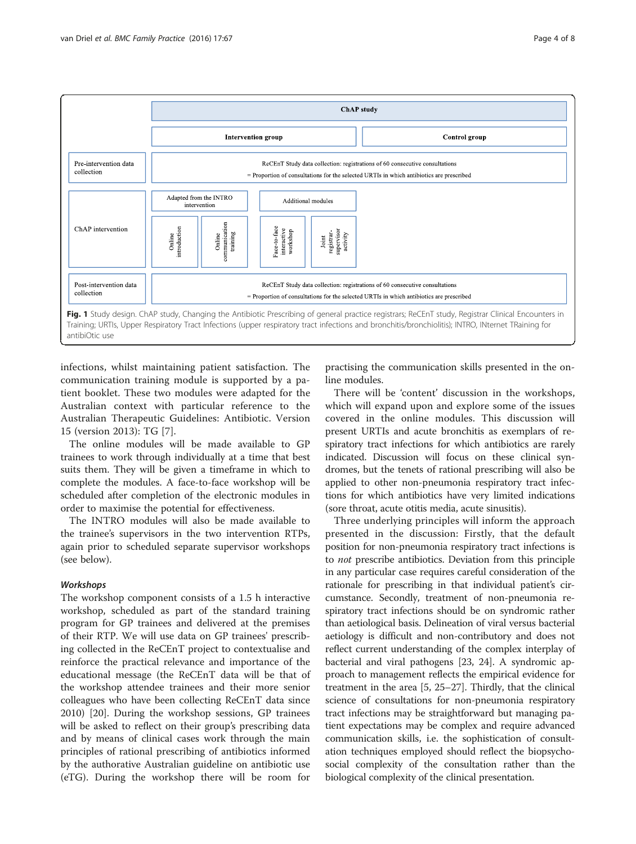<span id="page-6-0"></span>

infections, whilst maintaining patient satisfaction. The communication training module is supported by a patient booklet. These two modules were adapted for the Australian context with particular reference to the Australian Therapeutic Guidelines: Antibiotic. Version 15 (version 2013): TG [[7\]](#page-9-0).

The online modules will be made available to GP trainees to work through individually at a time that best suits them. They will be given a timeframe in which to complete the modules. A face-to-face workshop will be scheduled after completion of the electronic modules in order to maximise the potential for effectiveness.

The INTRO modules will also be made available to the trainee's supervisors in the two intervention RTPs, again prior to scheduled separate supervisor workshops (see below).

#### Workshops

The workshop component consists of a 1.5 h interactive workshop, scheduled as part of the standard training program for GP trainees and delivered at the premises of their RTP. We will use data on GP trainees' prescribing collected in the ReCEnT project to contextualise and reinforce the practical relevance and importance of the educational message (the ReCEnT data will be that of the workshop attendee trainees and their more senior colleagues who have been collecting ReCEnT data since 2010) [\[20\]](#page-10-0). During the workshop sessions, GP trainees will be asked to reflect on their group's prescribing data and by means of clinical cases work through the main principles of rational prescribing of antibiotics informed by the authorative Australian guideline on antibiotic use (eTG). During the workshop there will be room for

practising the communication skills presented in the online modules.

There will be 'content' discussion in the workshops, which will expand upon and explore some of the issues covered in the online modules. This discussion will present URTIs and acute bronchitis as exemplars of respiratory tract infections for which antibiotics are rarely indicated. Discussion will focus on these clinical syndromes, but the tenets of rational prescribing will also be applied to other non-pneumonia respiratory tract infections for which antibiotics have very limited indications (sore throat, acute otitis media, acute sinusitis).

Three underlying principles will inform the approach presented in the discussion: Firstly, that the default position for non-pneumonia respiratory tract infections is to not prescribe antibiotics. Deviation from this principle in any particular case requires careful consideration of the rationale for prescribing in that individual patient's circumstance. Secondly, treatment of non-pneumonia respiratory tract infections should be on syndromic rather than aetiological basis. Delineation of viral versus bacterial aetiology is difficult and non-contributory and does not reflect current understanding of the complex interplay of bacterial and viral pathogens [\[23, 24](#page-10-0)]. A syndromic approach to management reflects the empirical evidence for treatment in the area [[5,](#page-9-0) [25](#page-10-0)–[27](#page-10-0)]. Thirdly, that the clinical science of consultations for non-pneumonia respiratory tract infections may be straightforward but managing patient expectations may be complex and require advanced communication skills, i.e. the sophistication of consultation techniques employed should reflect the biopsychosocial complexity of the consultation rather than the biological complexity of the clinical presentation.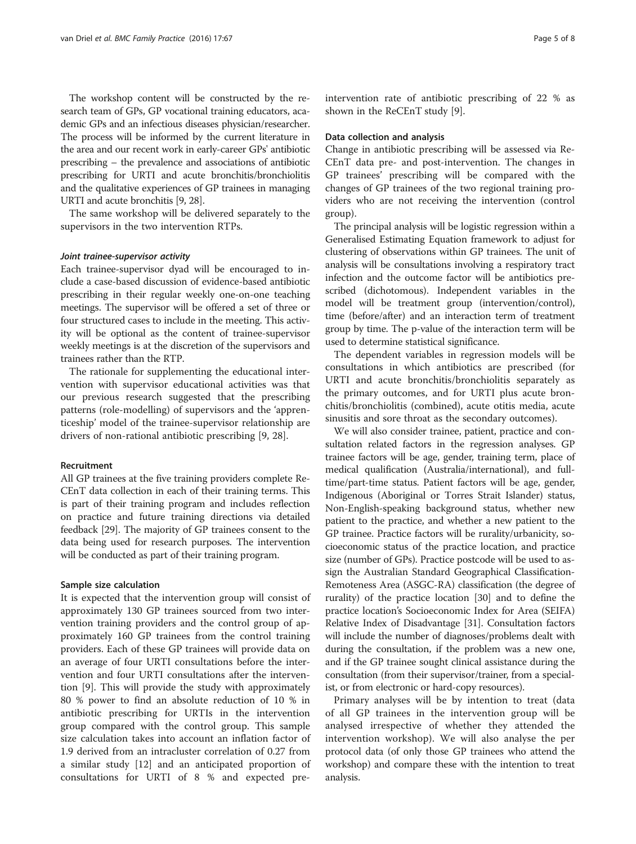The workshop content will be constructed by the research team of GPs, GP vocational training educators, academic GPs and an infectious diseases physician/researcher. The process will be informed by the current literature in the area and our recent work in early-career GPs' antibiotic prescribing – the prevalence and associations of antibiotic prescribing for URTI and acute bronchitis/bronchiolitis and the qualitative experiences of GP trainees in managing URTI and acute bronchitis [[9](#page-9-0), [28\]](#page-10-0).

The same workshop will be delivered separately to the supervisors in the two intervention RTPs.

#### Joint trainee-supervisor activity

Each trainee-supervisor dyad will be encouraged to include a case-based discussion of evidence-based antibiotic prescribing in their regular weekly one-on-one teaching meetings. The supervisor will be offered a set of three or four structured cases to include in the meeting. This activity will be optional as the content of trainee-supervisor weekly meetings is at the discretion of the supervisors and trainees rather than the RTP.

The rationale for supplementing the educational intervention with supervisor educational activities was that our previous research suggested that the prescribing patterns (role-modelling) of supervisors and the 'apprenticeship' model of the trainee-supervisor relationship are drivers of non-rational antibiotic prescribing [\[9](#page-9-0), [28\]](#page-10-0).

#### Recruitment

All GP trainees at the five training providers complete Re-CEnT data collection in each of their training terms. This is part of their training program and includes reflection on practice and future training directions via detailed feedback [\[29\]](#page-10-0). The majority of GP trainees consent to the data being used for research purposes. The intervention will be conducted as part of their training program.

#### Sample size calculation

It is expected that the intervention group will consist of approximately 130 GP trainees sourced from two intervention training providers and the control group of approximately 160 GP trainees from the control training providers. Each of these GP trainees will provide data on an average of four URTI consultations before the intervention and four URTI consultations after the intervention [[9\]](#page-9-0). This will provide the study with approximately 80 % power to find an absolute reduction of 10 % in antibiotic prescribing for URTIs in the intervention group compared with the control group. This sample size calculation takes into account an inflation factor of 1.9 derived from an intracluster correlation of 0.27 from a similar study [[12](#page-9-0)] and an anticipated proportion of consultations for URTI of 8 % and expected preintervention rate of antibiotic prescribing of 22 % as shown in the ReCEnT study [[9](#page-9-0)].

#### Data collection and analysis

Change in antibiotic prescribing will be assessed via Re-CEnT data pre- and post-intervention. The changes in GP trainees' prescribing will be compared with the changes of GP trainees of the two regional training providers who are not receiving the intervention (control group).

The principal analysis will be logistic regression within a Generalised Estimating Equation framework to adjust for clustering of observations within GP trainees. The unit of analysis will be consultations involving a respiratory tract infection and the outcome factor will be antibiotics prescribed (dichotomous). Independent variables in the model will be treatment group (intervention/control), time (before/after) and an interaction term of treatment group by time. The p-value of the interaction term will be used to determine statistical significance.

The dependent variables in regression models will be consultations in which antibiotics are prescribed (for URTI and acute bronchitis/bronchiolitis separately as the primary outcomes, and for URTI plus acute bronchitis/bronchiolitis (combined), acute otitis media, acute sinusitis and sore throat as the secondary outcomes).

We will also consider trainee, patient, practice and consultation related factors in the regression analyses. GP trainee factors will be age, gender, training term, place of medical qualification (Australia/international), and fulltime/part-time status. Patient factors will be age, gender, Indigenous (Aboriginal or Torres Strait Islander) status, Non-English-speaking background status, whether new patient to the practice, and whether a new patient to the GP trainee. Practice factors will be rurality/urbanicity, socioeconomic status of the practice location, and practice size (number of GPs). Practice postcode will be used to assign the Australian Standard Geographical Classification-Remoteness Area (ASGC-RA) classification (the degree of rurality) of the practice location [\[30\]](#page-10-0) and to define the practice location's Socioeconomic Index for Area (SEIFA) Relative Index of Disadvantage [[31](#page-10-0)]. Consultation factors will include the number of diagnoses/problems dealt with during the consultation, if the problem was a new one, and if the GP trainee sought clinical assistance during the consultation (from their supervisor/trainer, from a specialist, or from electronic or hard-copy resources).

Primary analyses will be by intention to treat (data of all GP trainees in the intervention group will be analysed irrespective of whether they attended the intervention workshop). We will also analyse the per protocol data (of only those GP trainees who attend the workshop) and compare these with the intention to treat analysis.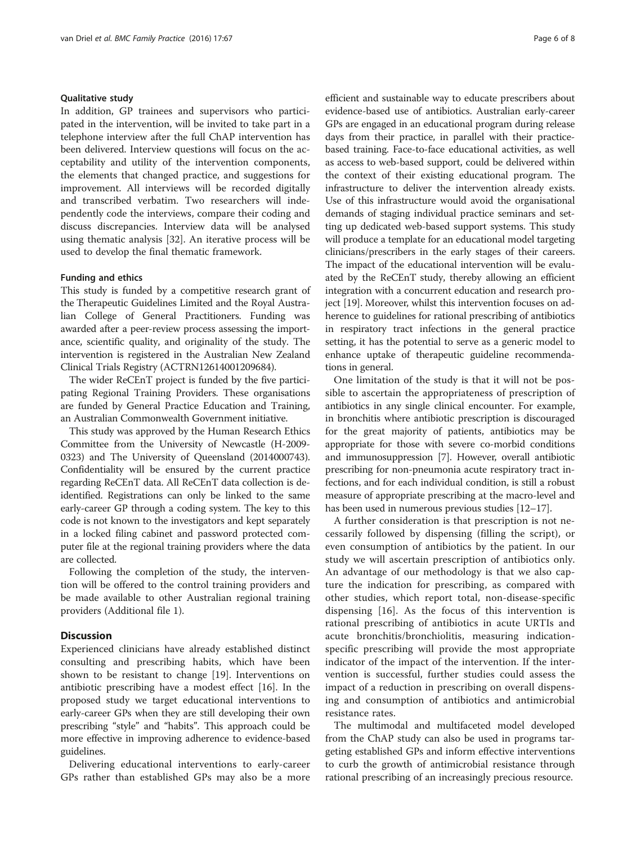#### Qualitative study

In addition, GP trainees and supervisors who participated in the intervention, will be invited to take part in a telephone interview after the full ChAP intervention has been delivered. Interview questions will focus on the acceptability and utility of the intervention components, the elements that changed practice, and suggestions for improvement. All interviews will be recorded digitally and transcribed verbatim. Two researchers will independently code the interviews, compare their coding and discuss discrepancies. Interview data will be analysed using thematic analysis [[32\]](#page-10-0). An iterative process will be used to develop the final thematic framework.

#### Funding and ethics

This study is funded by a competitive research grant of the Therapeutic Guidelines Limited and the Royal Australian College of General Practitioners. Funding was awarded after a peer-review process assessing the importance, scientific quality, and originality of the study. The intervention is registered in the Australian New Zealand Clinical Trials Registry (ACTRN12614001209684).

The wider ReCEnT project is funded by the five participating Regional Training Providers. These organisations are funded by General Practice Education and Training, an Australian Commonwealth Government initiative.

This study was approved by the Human Research Ethics Committee from the University of Newcastle (H-2009- 0323) and The University of Queensland (2014000743). Confidentiality will be ensured by the current practice regarding ReCEnT data. All ReCEnT data collection is deidentified. Registrations can only be linked to the same early-career GP through a coding system. The key to this code is not known to the investigators and kept separately in a locked filing cabinet and password protected computer file at the regional training providers where the data are collected.

Following the completion of the study, the intervention will be offered to the control training providers and be made available to other Australian regional training providers (Additional file [1](#page-9-0)).

## **Discussion**

Experienced clinicians have already established distinct consulting and prescribing habits, which have been shown to be resistant to change [[19](#page-10-0)]. Interventions on antibiotic prescribing have a modest effect [\[16\]](#page-9-0). In the proposed study we target educational interventions to early-career GPs when they are still developing their own prescribing "style" and "habits". This approach could be more effective in improving adherence to evidence-based guidelines.

Delivering educational interventions to early-career GPs rather than established GPs may also be a more efficient and sustainable way to educate prescribers about evidence-based use of antibiotics. Australian early-career GPs are engaged in an educational program during release days from their practice, in parallel with their practicebased training. Face-to-face educational activities, as well as access to web-based support, could be delivered within the context of their existing educational program. The infrastructure to deliver the intervention already exists. Use of this infrastructure would avoid the organisational demands of staging individual practice seminars and setting up dedicated web-based support systems. This study will produce a template for an educational model targeting clinicians/prescribers in the early stages of their careers. The impact of the educational intervention will be evaluated by the ReCEnT study, thereby allowing an efficient integration with a concurrent education and research project [[19](#page-10-0)]. Moreover, whilst this intervention focuses on adherence to guidelines for rational prescribing of antibiotics in respiratory tract infections in the general practice setting, it has the potential to serve as a generic model to enhance uptake of therapeutic guideline recommendations in general.

One limitation of the study is that it will not be possible to ascertain the appropriateness of prescription of antibiotics in any single clinical encounter. For example, in bronchitis where antibiotic prescription is discouraged for the great majority of patients, antibiotics may be appropriate for those with severe co-morbid conditions and immunosuppression [\[7](#page-9-0)]. However, overall antibiotic prescribing for non-pneumonia acute respiratory tract infections, and for each individual condition, is still a robust measure of appropriate prescribing at the macro-level and has been used in numerous previous studies [[12](#page-9-0)–[17\]](#page-9-0).

A further consideration is that prescription is not necessarily followed by dispensing (filling the script), or even consumption of antibiotics by the patient. In our study we will ascertain prescription of antibiotics only. An advantage of our methodology is that we also capture the indication for prescribing, as compared with other studies, which report total, non-disease-specific dispensing [\[16](#page-9-0)]. As the focus of this intervention is rational prescribing of antibiotics in acute URTIs and acute bronchitis/bronchiolitis, measuring indicationspecific prescribing will provide the most appropriate indicator of the impact of the intervention. If the intervention is successful, further studies could assess the impact of a reduction in prescribing on overall dispensing and consumption of antibiotics and antimicrobial resistance rates.

The multimodal and multifaceted model developed from the ChAP study can also be used in programs targeting established GPs and inform effective interventions to curb the growth of antimicrobial resistance through rational prescribing of an increasingly precious resource.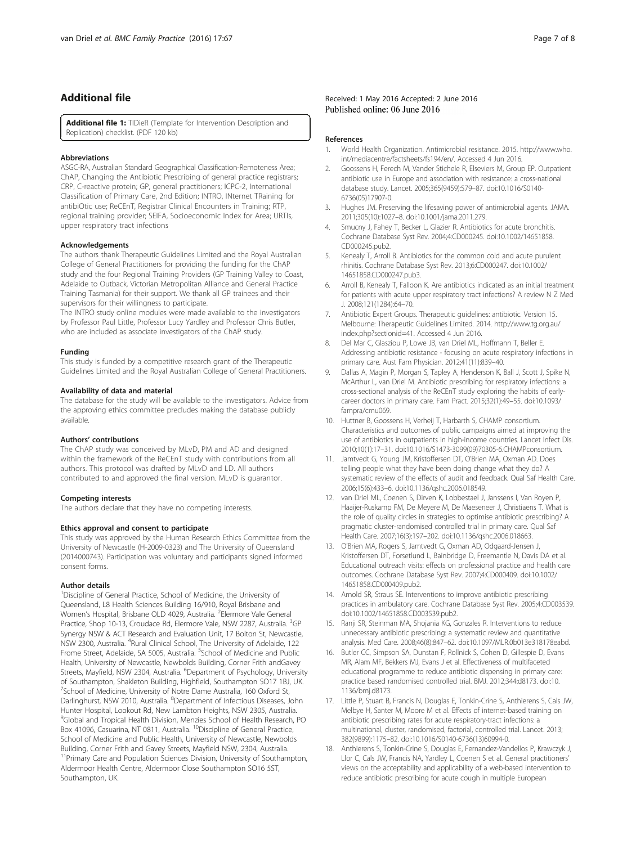# <span id="page-9-0"></span>Additional file

[Additional file 1:](dx.doi.org/10.1186/s12875-016-0470-7) TIDieR (Template for Intervention Description and Replication) checklist. (PDF 120 kb)

#### Abbreviations

ASGC-RA, Australian Standard Geographical Classification-Remoteness Area; ChAP, Changing the Antibiotic Prescribing of general practice registrars; CRP, C-reactive protein; GP, general practitioners; ICPC-2, International Classification of Primary Care, 2nd Edition; INTRO, INternet TRaining for antibiOtic use; ReCEnT, Registrar Clinical Encounters in Training; RTP, regional training provider; SEIFA, Socioeconomic Index for Area; URTIs, upper respiratory tract infections

#### Acknowledgements

The authors thank Therapeutic Guidelines Limited and the Royal Australian College of General Practitioners for providing the funding for the ChAP study and the four Regional Training Providers (GP Training Valley to Coast, Adelaide to Outback, Victorian Metropolitan Alliance and General Practice Training Tasmania) for their support. We thank all GP trainees and their supervisors for their willingness to participate.

The INTRO study online modules were made available to the investigators by Professor Paul Little, Professor Lucy Yardley and Professor Chris Butler, who are included as associate investigators of the ChAP study.

#### Funding

This study is funded by a competitive research grant of the Therapeutic Guidelines Limited and the Royal Australian College of General Practitioners.

#### Availability of data and material

The database for the study will be available to the investigators. Advice from the approving ethics committee precludes making the database publicly available.

#### Authors' contributions

The ChAP study was conceived by MLvD, PM and AD and designed within the framework of the ReCEnT study with contributions from all authors. This protocol was drafted by MLvD and LD. All authors contributed to and approved the final version. MLvD is guarantor.

#### Competing interests

The authors declare that they have no competing interests.

#### Ethics approval and consent to participate

This study was approved by the Human Research Ethics Committee from the University of Newcastle (H-2009-0323) and The University of Queensland (2014000743). Participation was voluntary and participants signed informed consent forms.

#### Author details

<sup>1</sup>Discipline of General Practice, School of Medicine, the University of Queensland, L8 Health Sciences Building 16/910, Royal Brisbane and Women's Hospital, Brisbane QLD 4029, Australia. <sup>2</sup>Elermore Vale General Practice, Shop 10-13, Croudace Rd, Elermore Vale, NSW 2287, Australia. <sup>3</sup>GP Synergy NSW & ACT Research and Evaluation Unit, 17 Bolton St, Newcastle, NSW 2300, Australia. <sup>4</sup>Rural Clinical School, The University of Adelaide, 122 Frome Street, Adelaide, SA 5005, Australia. <sup>5</sup>School of Medicine and Public Health, University of Newcastle, Newbolds Building, Corner Frith andGavey Streets, Mayfield, NSW 2304, Australia. <sup>6</sup>Department of Psychology, University of Southampton, Shakleton Building, Highfield, Southampton SO17 1BJ, UK. <sup>7</sup>School of Medicine, University of Notre Dame Australia, 160 Oxford St, Darlinghurst, NSW 2010, Australia. <sup>8</sup>Department of Infectious Diseases, John Hunter Hospital, Lookout Rd, New Lambton Heights, NSW 2305, Australia. <sup>9</sup>Global and Tropical Health Division, Menzies School of Health Research, PO Box 41096, Casuarina, NT 0811, Australia. <sup>10</sup>Discipline of General Practice, School of Medicine and Public Health, University of Newcastle, Newbolds Building, Corner Frith and Gavey Streets, Mayfield NSW, 2304, Australia. <sup>11</sup>Primary Care and Population Sciences Division, University of Southampton, Aldermoor Health Centre, Aldermoor Close Southampton SO16 5ST, Southampton, UK.

Received: 1 May 2016 Accepted: 2 June 2016 Published online: 06 June 2016

#### References

- 1. World Health Organization. Antimicrobial resistance. 2015. [http://www.who.](http://www.who.int/mediacentre/factsheets/fs194/en/) [int/mediacentre/factsheets/fs194/en/](http://www.who.int/mediacentre/factsheets/fs194/en/). Accessed 4 Jun 2016.
- 2. Goossens H, Ferech M, Vander Stichele R, Elseviers M, Group EP. Outpatient antibiotic use in Europe and association with resistance: a cross-national database study. Lancet. 2005;365(9459):579–87. doi[:10.1016/S0140-](http://dx.doi.org/10.1016/S0140-6736(05)17907-0) [6736\(05\)17907-0](http://dx.doi.org/10.1016/S0140-6736(05)17907-0).
- 3. Hughes JM. Preserving the lifesaving power of antimicrobial agents. JAMA. 2011;305(10):1027–8. doi:[10.1001/jama.2011.279.](http://dx.doi.org/10.1001/jama.2011.279)
- 4. Smucny J, Fahey T, Becker L, Glazier R. Antibiotics for acute bronchitis. Cochrane Database Syst Rev. 2004;4:CD000245. doi[:10.1002/14651858.](http://dx.doi.org/10.1002/14651858.CD000245.pub2) [CD000245.pub2.](http://dx.doi.org/10.1002/14651858.CD000245.pub2)
- Kenealy T, Arroll B. Antibiotics for the common cold and acute purulent rhinitis. Cochrane Database Syst Rev. 2013;6:CD000247. doi[:10.1002/](http://dx.doi.org/10.1002/14651858.CD000247.pub3) [14651858.CD000247.pub3](http://dx.doi.org/10.1002/14651858.CD000247.pub3).
- 6. Arroll B, Kenealy T, Falloon K. Are antibiotics indicated as an initial treatment for patients with acute upper respiratory tract infections? A review N Z Med J. 2008;121(1284):64–70.
- 7. Antibiotic Expert Groups. Therapeutic guidelines: antibiotic. Version 15. Melbourne: Therapeutic Guidelines Limited. 2014. [http://www.tg.org.au/](http://www.tg.org.au/index.php?sectionid=41) [index.php?sectionid=41](http://www.tg.org.au/index.php?sectionid=41). Accessed 4 Jun 2016.
- 8. Del Mar C, Glasziou P, Lowe JB, van Driel ML, Hoffmann T, Beller E. Addressing antibiotic resistance - focusing on acute respiratory infections in primary care. Aust Fam Physician. 2012;41(11):839–40.
- 9. Dallas A, Magin P, Morgan S, Tapley A, Henderson K, Ball J, Scott J, Spike N, McArthur L, van Driel M. Antibiotic prescribing for respiratory infections: a cross-sectional analysis of the ReCEnT study exploring the habits of earlycareer doctors in primary care. Fam Pract. 2015;32(1):49–55. doi:[10.1093/](http://dx.doi.org/10.1093/fampra/cmu069) [fampra/cmu069.](http://dx.doi.org/10.1093/fampra/cmu069)
- 10. Huttner B, Goossens H, Verheij T, Harbarth S, CHAMP consortium. Characteristics and outcomes of public campaigns aimed at improving the use of antibiotics in outpatients in high-income countries. Lancet Infect Dis. 2010;10(1):17–31. doi:[10.1016/S1473-3099\(09\)70305-6.CHAMPconsortium](http://dx.doi.org/10.1016/S1473-3099(09)70305-6.CHAMPconsortium).
- 11. Jamtvedt G, Young JM, Kristoffersen DT, O'Brien MA, Oxman AD. Does telling people what they have been doing change what they do? A systematic review of the effects of audit and feedback. Qual Saf Health Care. 2006;15(6):433–6. doi:[10.1136/qshc.2006.018549.](http://dx.doi.org/10.1136/qshc.2006.018549)
- 12. van Driel ML, Coenen S, Dirven K, Lobbestael J, Janssens I, Van Royen P, Haaijer-Ruskamp FM, De Meyere M, De Maeseneer J, Christiaens T. What is the role of quality circles in strategies to optimise antibiotic prescribing? A pragmatic cluster-randomised controlled trial in primary care. Qual Saf Health Care. 2007;16(3):197–202. doi:[10.1136/qshc.2006.018663.](http://dx.doi.org/10.1136/qshc.2006.018663)
- 13. O'Brien MA, Rogers S, Jamtvedt G, Oxman AD, Odgaard-Jensen J, Kristoffersen DT, Forsetlund L, Bainbridge D, Freemantle N, Davis DA et al. Educational outreach visits: effects on professional practice and health care outcomes. Cochrane Database Syst Rev. 2007;4:CD000409. doi:[10.1002/](http://dx.doi.org/10.1002/14651858.CD000409.pub2) [14651858.CD000409.pub2](http://dx.doi.org/10.1002/14651858.CD000409.pub2).
- 14. Arnold SR, Straus SE. Interventions to improve antibiotic prescribing practices in ambulatory care. Cochrane Database Syst Rev. 2005;4:CD003539. doi[:10.1002/14651858.CD003539.pub2.](http://dx.doi.org/10.1002/14651858.CD003539.pub2)
- 15. Ranji SR, Steinman MA, Shojania KG, Gonzales R. Interventions to reduce unnecessary antibiotic prescribing: a systematic review and quantitative analysis. Med Care. 2008;46(8):847–62. doi:[10.1097/MLR.0b013e318178eabd.](http://dx.doi.org/10.1097/MLR.0b013e318178eabd)
- Butler CC, Simpson SA, Dunstan F, Rollnick S, Cohen D, Gillespie D, Evans MR, Alam MF, Bekkers MJ, Evans J et al. Effectiveness of multifaceted educational programme to reduce antibiotic dispensing in primary care: practice based randomised controlled trial. BMJ. 2012;344:d8173. doi[:10.](http://dx.doi.org/10.1136/bmj.d8173) [1136/bmj.d8173.](http://dx.doi.org/10.1136/bmj.d8173)
- 17. Little P, Stuart B, Francis N, Douglas E, Tonkin-Crine S, Anthierens S, Cals JW, Melbye H, Santer M, Moore M et al. Effects of internet-based training on antibiotic prescribing rates for acute respiratory-tract infections: a multinational, cluster, randomised, factorial, controlled trial. Lancet. 2013; 382(9899):1175–82. doi[:10.1016/S0140-6736\(13\)60994-0](http://dx.doi.org/10.1016/S0140-6736(13)60994-0).
- 18. Anthierens S, Tonkin-Crine S, Douglas E, Fernandez-Vandellos P, Krawczyk J, Llor C, Cals JW, Francis NA, Yardley L, Coenen S et al. General practitioners' views on the acceptability and applicability of a web-based intervention to reduce antibiotic prescribing for acute cough in multiple European